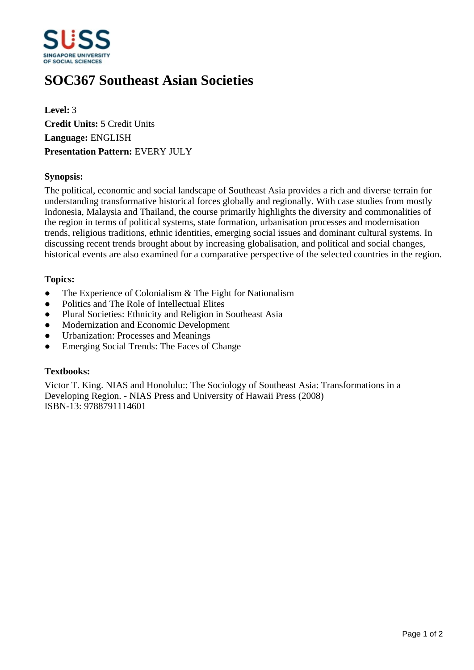

# **SOC367 Southeast Asian Societies**

**Level:** 3 **Credit Units:** 5 Credit Units **Language:** ENGLISH **Presentation Pattern:** EVERY JULY

# **Synopsis:**

The political, economic and social landscape of Southeast Asia provides a rich and diverse terrain for understanding transformative historical forces globally and regionally. With case studies from mostly Indonesia, Malaysia and Thailand, the course primarily highlights the diversity and commonalities of the region in terms of political systems, state formation, urbanisation processes and modernisation trends, religious traditions, ethnic identities, emerging social issues and dominant cultural systems. In discussing recent trends brought about by increasing globalisation, and political and social changes, historical events are also examined for a comparative perspective of the selected countries in the region.

#### **Topics:**

- $\bullet$  The Experience of Colonialism & The Fight for Nationalism
- Politics and The Role of Intellectual Elites
- Plural Societies: Ethnicity and Religion in Southeast Asia
- Modernization and Economic Development
- Urbanization: Processes and Meanings
- Emerging Social Trends: The Faces of Change

#### **Textbooks:**

Victor T. King. NIAS and Honolulu:: The Sociology of Southeast Asia: Transformations in a Developing Region. - NIAS Press and University of Hawaii Press (2008) ISBN-13: 9788791114601